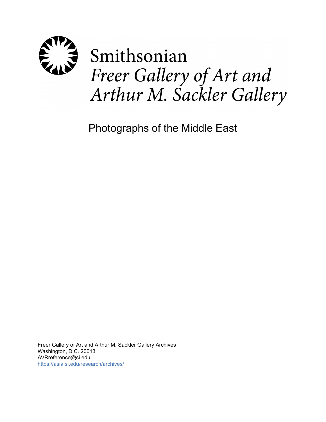

Photographs of the Middle East

Freer Gallery of Art and Arthur M. Sackler Gallery Archives Washington, D.C. 20013 AVRreference@si.edu <https://asia.si.edu/research/archives/>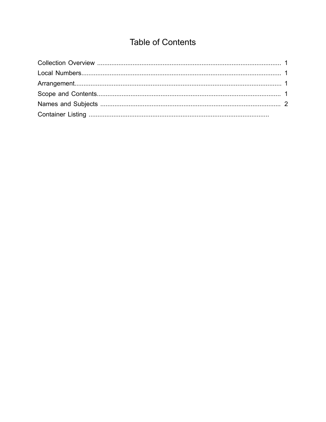# **Table of Contents**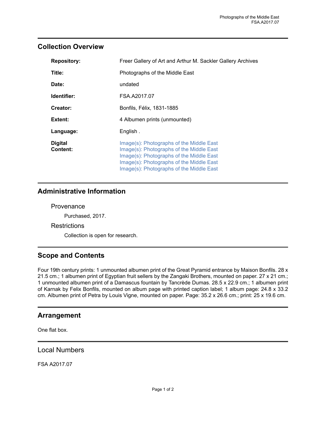## <span id="page-2-0"></span>**Collection Overview**

| <b>Repository:</b>                | Freer Gallery of Art and Arthur M. Sackler Gallery Archives                                                                                                                                                              |
|-----------------------------------|--------------------------------------------------------------------------------------------------------------------------------------------------------------------------------------------------------------------------|
| Title:                            | Photographs of the Middle East                                                                                                                                                                                           |
| Date:                             | undated                                                                                                                                                                                                                  |
| Identifier:                       | FSA.A2017.07                                                                                                                                                                                                             |
| Creator:                          | Bonfils, Félix, 1831-1885                                                                                                                                                                                                |
| Extent:                           | 4 Albumen prints (unmounted)                                                                                                                                                                                             |
| Language:                         | English.                                                                                                                                                                                                                 |
| <b>Digital</b><br><b>Content:</b> | Image(s): Photographs of the Middle East<br>Image(s): Photographs of the Middle East<br>Image(s): Photographs of the Middle East<br>Image(s): Photographs of the Middle East<br>Image(s): Photographs of the Middle East |

## **Administrative Information**

#### **Provenance**

Purchased, 2017.

### **Restrictions**

Collection is open for research.

## <span id="page-2-3"></span>**Scope and Contents**

Four 19th century prints: 1 unmounted albumen print of the Great Pyramid entrance by Maison Bonfils. 28 x 21.5 cm.; 1 albumen print of Egyptian fruit sellers by the Zangaki Brothers, mounted on paper. 27 x 21 cm.; 1 unmounted albumen print of a Damascus fountain by Tancrède Dumas. 28.5 x 22.9 cm.; 1 albumen print of Karnak by Felix Bonfils, mounted on album page with printed caption label; 1 album page: 24.8 x 33.2 cm. Albumen print of Petra by Louis Vigne, mounted on paper. Page: 35.2 x 26.6 cm.; print: 25 x 19.6 cm.

## <span id="page-2-2"></span>**Arrangement**

One flat box.

<span id="page-2-1"></span>Local Numbers

FSA A2017.07